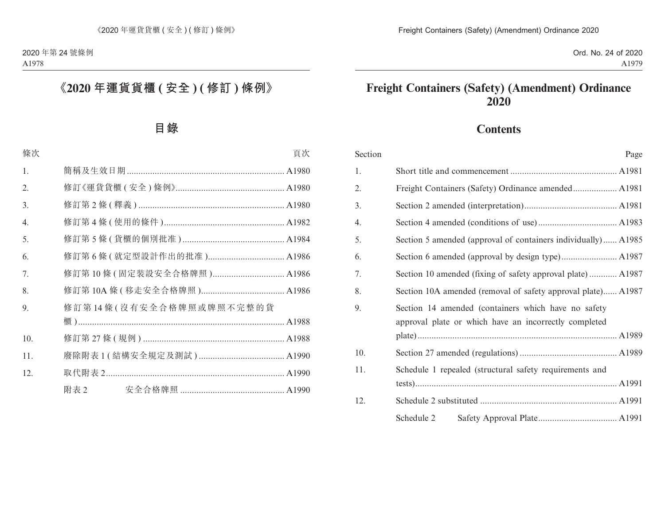# **Freight Containers (Safety) (Amendment) Ordinance 2020**

# **Contents**

| Section | Page                                                                                                         |
|---------|--------------------------------------------------------------------------------------------------------------|
| 1.      |                                                                                                              |
| 2.      |                                                                                                              |
| 3.      |                                                                                                              |
| 4.      |                                                                                                              |
| 5.      | Section 5 amended (approval of containers individually) A1985                                                |
| 6.      |                                                                                                              |
| 7.      | Section 10 amended (fixing of safety approval plate) A1987                                                   |
| 8.      | Section 10A amended (removal of safety approval plate) A1987                                                 |
| 9.      | Section 14 amended (containers which have no safety<br>approval plate or which have an incorrectly completed |
| 10.     |                                                                                                              |
| 11.     | Schedule 1 repealed (structural safety requirements and                                                      |
| 12.     |                                                                                                              |
|         | Schedule 2                                                                                                   |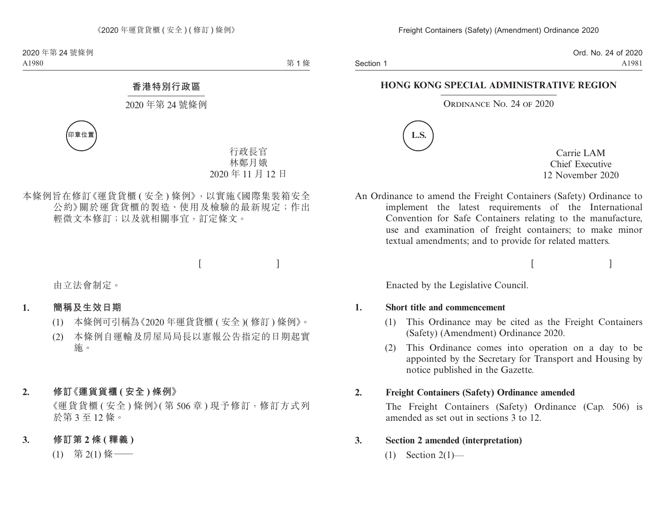Section 1

Ord. No. 24 of 2020 A1981

### **HONG KONG SPECIAL ADMINISTRATIVE REGION**

### ORDINANCE NO. 24 OF 2020



Carrie LAM Chief Executive 12 November 2020

 $[$ 

An Ordinance to amend the Freight Containers (Safety) Ordinance to implement the latest requirements of the International Convention for Safe Containers relating to the manufacture, use and examination of freight containers; to make minor textual amendments; and to provide for related matters.

Enacted by the Legislative Council.

#### **1. Short title and commencement**

- (1) This Ordinance may be cited as the Freight Containers (Safety) (Amendment) Ordinance 2020.
- (2) This Ordinance comes into operation on a day to be appointed by the Secretary for Transport and Housing by notice published in the Gazette.

## **2. Freight Containers (Safety) Ordinance amended**

The Freight Containers (Safety) Ordinance (Cap. 506) is amended as set out in sections 3 to 12.

## **3. Section 2 amended (interpretation)**

 $(1)$  Section 2(1)—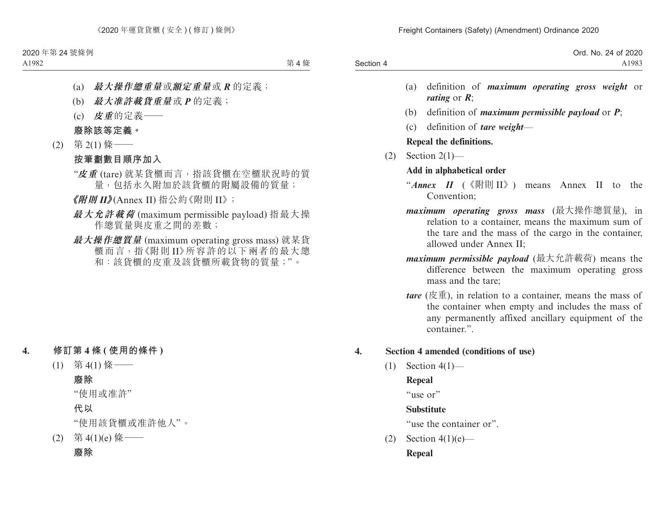|           | Ord. No. 24 of 2020 |
|-----------|---------------------|
| Section 4 | A1983               |

- (a) definition of *maximum operating gross weight* or *rating* or *R*;
- (b) definition of *maximum permissible payload* or *P*;
- (c) definition of *tare weight*—

**Repeal the definitions.**

(2) Section 2(1)—

## **Add in alphabetical order**

- "*Annex II* (《附則 II》) means Annex II to the Convention;
- *maximum operating gross mass* (最大操作總質量), in relation to a container, means the maximum sum of the tare and the mass of the cargo in the container, allowed under Annex II;
- *maximum permissible payload* (最大允許載荷) means the difference between the maximum operating gross mass and the tare;
- *(* $\overline{g}(\overline{g})$ *, in relation to a container, means the mass of* the container when empty and includes the mass of any permanently affixed ancillary equipment of the container.".

# **4. Section 4 amended (conditions of use)**

 $(1)$  Section  $4(1)$ —

# **Repeal**

"use or"

# **Substitute**

"use the container or".

(2) Section  $4(1)(e)$ — **Repeal**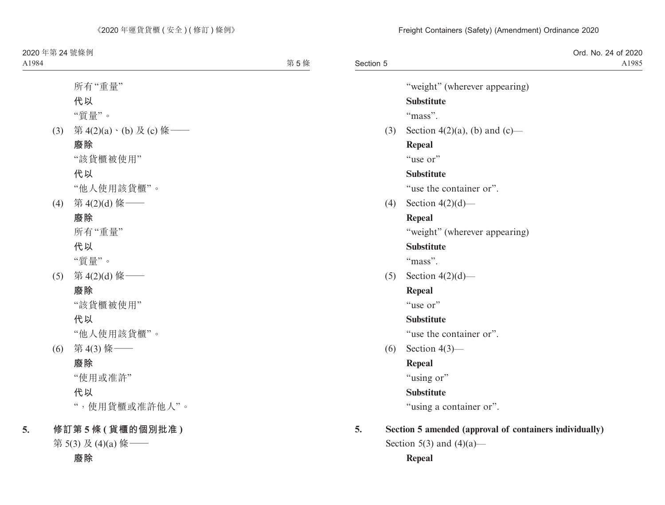## Freight Containers (Safety) (Amendment) Ordinance 2020

| Section 5 | Ord. No. 24 of 2020<br>A1985                            |
|-----------|---------------------------------------------------------|
|           | "weight" (wherever appearing)                           |
|           | <b>Substitute</b>                                       |
|           | "mass".                                                 |
| (3)       | Section 4(2)(a), (b) and (c)—                           |
|           | <b>Repeal</b>                                           |
|           | "use or"                                                |
|           | <b>Substitute</b>                                       |
|           | "use the container or".                                 |
| (4)       | Section $4(2)(d)$ —                                     |
|           | <b>Repeal</b>                                           |
|           | "weight" (wherever appearing)                           |
|           | <b>Substitute</b>                                       |
|           | "mass".                                                 |
| (5)       | Section $4(2)(d)$ —                                     |
|           | <b>Repeal</b>                                           |
|           | "use or"                                                |
|           | <b>Substitute</b>                                       |
|           | "use the container or".                                 |
| (6)       | Section $4(3)$ —                                        |
|           | <b>Repeal</b>                                           |
|           | "using or"                                              |
|           | <b>Substitute</b>                                       |
|           | "using a container or".                                 |
| 5.        | Section 5 amended (approval of containers individually) |
|           | Section 5(3) and $(4)(a)$ —                             |

**Repeal**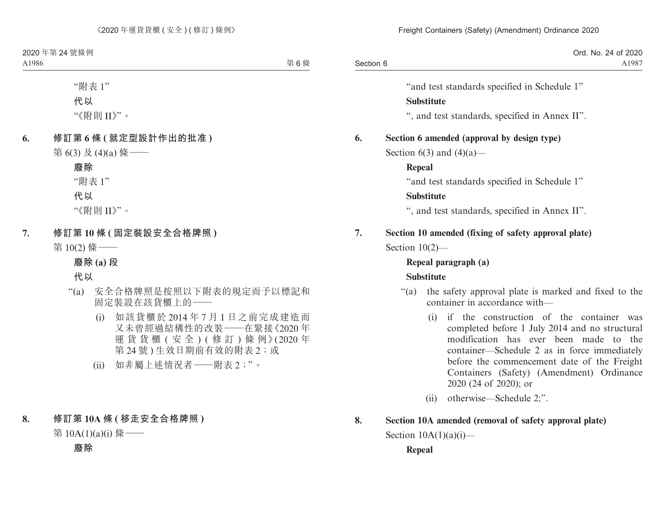|           | Ord. No. 24 of 2020 |
|-----------|---------------------|
| Section 6 | A1987               |

"and test standards specified in Schedule 1"

### **Substitute**

", and test standards, specified in Annex II".

## **6. Section 6 amended (approval by design type)**

Section  $6(3)$  and  $(4)(a)$ —

### **Repeal**

"and test standards specified in Schedule 1"

## **Substitute**

", and test standards, specified in Annex II".

# **7. Section 10 amended (fixing of safety approval plate)** Section 10(2)—

# **Repeal paragraph (a) Substitute**

- "(a) the safety approval plate is marked and fixed to the container in accordance with—
	- (i) if the construction of the container was completed before 1 July 2014 and no structural modification has ever been made to the container—Schedule 2 as in force immediately before the commencement date of the Freight Containers (Safety) (Amendment) Ordinance 2020 (24 of 2020); or
	- (ii) otherwise—Schedule 2;".

# **8. Section 10A amended (removal of safety approval plate)** Section  $10A(1)(a)(i)$ —

## **Repeal**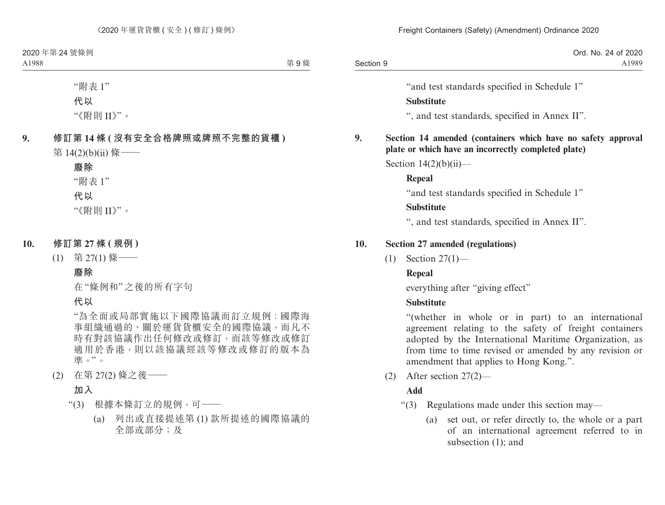|           | Ord. No. 24 of 2020 |
|-----------|---------------------|
| Section 9 | A1989               |

"and test standards specified in Schedule 1"

### **Substitute**

", and test standards, specified in Annex II".

# **9. Section 14 amended (containers which have no safety approval plate or which have an incorrectly completed plate)**

Section  $14(2)(b)(ii)$ —

# **Repeal**

"and test standards specified in Schedule 1"

## **Substitute**

", and test standards, specified in Annex II".

## **10. Section 27 amended (regulations)**

(1) Section 27(1)—

# **Repeal**

everything after "giving effect"

# **Substitute**

"(whether in whole or in part) to an international agreement relating to the safety of freight containers adopted by the International Maritime Organization, as from time to time revised or amended by any revision or amendment that applies to Hong Kong.".

(2) After section 27(2)—

# **Add**

- "(3) Regulations made under this section may—
	- (a) set out, or refer directly to, the whole or a part of an international agreement referred to in subsection (1); and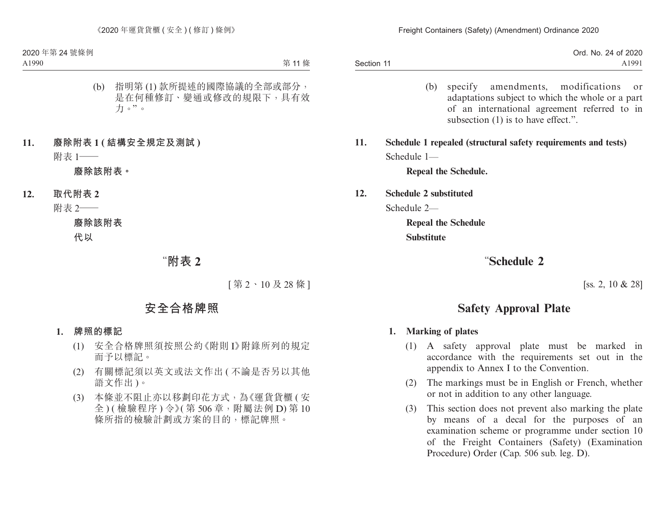|                   | 2020<br>24 of 1<br>Ord.<br>No. |
|-------------------|--------------------------------|
| $-11$<br>Section. | A1991                          |

- (b) specify amendments, modifications or adaptations subject to which the whole or a part of an international agreement referred to in subsection (1) is to have effect.".
- **11. Schedule 1 repealed (structural safety requirements and tests)** Schedule 1—

**Repeal the Schedule.**

**12. Schedule 2 substituted**

Schedule 2—

**Repeal the Schedule Substitute**

# "**Schedule 2**

[ss. 2, 10 & 28]

# **Safety Approval Plate**

#### **1. Marking of plates**

- (1) A safety approval plate must be marked in accordance with the requirements set out in the appendix to Annex I to the Convention.
- (2) The markings must be in English or French, whether or not in addition to any other language.
- (3) This section does not prevent also marking the plate by means of a decal for the purposes of an examination scheme or programme under section 10 of the Freight Containers (Safety) (Examination Procedure) Order (Cap. 506 sub. leg. D).